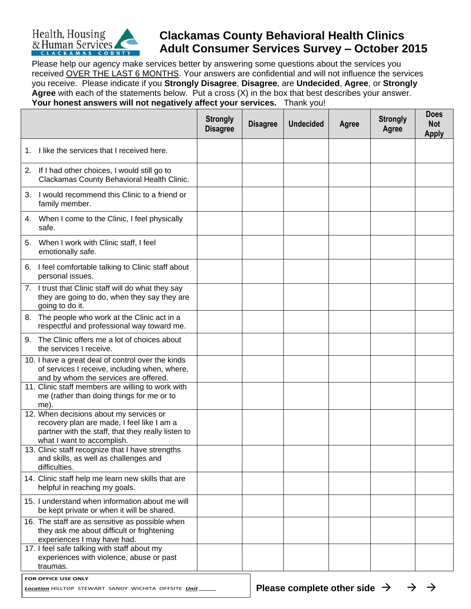

## **Clackamas County Behavioral Health Clinics Adult Consumer Services Survey – October 2015**

Please help our agency make services better by answering some questions about the services you received OVER THE LAST 6 MONTHS. Your answers are confidential and will not influence the services you receive. Please indicate if you **Strongly Disagree**, **Disagree**, are **Undecided**, **Agree**, or **Strongly Agree** with each of the statements below. Put a cross (X) in the box that best describes your answer. **Your honest answers will not negatively affect your services.** Thank you!

|                                                                                                                                                                           | <b>Strongly</b><br><b>Disagree</b> | <b>Disagree</b> | <b>Undecided</b> | Agree | <b>Strongly</b><br>Agree | <b>Does</b><br><b>Not</b><br><b>Apply</b> |
|---------------------------------------------------------------------------------------------------------------------------------------------------------------------------|------------------------------------|-----------------|------------------|-------|--------------------------|-------------------------------------------|
| I like the services that I received here.<br>1.                                                                                                                           |                                    |                 |                  |       |                          |                                           |
| If I had other choices, I would still go to<br>2.<br>Clackamas County Behavioral Health Clinic.                                                                           |                                    |                 |                  |       |                          |                                           |
| 3.<br>I would recommend this Clinic to a friend or<br>family member.                                                                                                      |                                    |                 |                  |       |                          |                                           |
| 4. When I come to the Clinic, I feel physically<br>safe.                                                                                                                  |                                    |                 |                  |       |                          |                                           |
| When I work with Clinic staff, I feel<br>5.<br>emotionally safe.                                                                                                          |                                    |                 |                  |       |                          |                                           |
| 6. I feel comfortable talking to Clinic staff about<br>personal issues.                                                                                                   |                                    |                 |                  |       |                          |                                           |
| 7. I trust that Clinic staff will do what they say<br>they are going to do, when they say they are<br>going to do it.                                                     |                                    |                 |                  |       |                          |                                           |
| The people who work at the Clinic act in a<br>8.<br>respectful and professional way toward me.                                                                            |                                    |                 |                  |       |                          |                                           |
| The Clinic offers me a lot of choices about<br>9.<br>the services I receive.                                                                                              |                                    |                 |                  |       |                          |                                           |
| 10. I have a great deal of control over the kinds<br>of services I receive, including when, where,<br>and by whom the services are offered.                               |                                    |                 |                  |       |                          |                                           |
| 11. Clinic staff members are willing to work with<br>me (rather than doing things for me or to<br>me).                                                                    |                                    |                 |                  |       |                          |                                           |
| 12. When decisions about my services or<br>recovery plan are made, I feel like I am a<br>partner with the staff, that they really listen to<br>what I want to accomplish. |                                    |                 |                  |       |                          |                                           |
| 13. Clinic staff recognize that I have strengths<br>and skills, as well as challenges and<br>difficulties.                                                                |                                    |                 |                  |       |                          |                                           |
| 14. Clinic staff help me learn new skills that are<br>helpful in reaching my goals.                                                                                       |                                    |                 |                  |       |                          |                                           |
| 15. I understand when information about me will<br>be kept private or when it will be shared.                                                                             |                                    |                 |                  |       |                          |                                           |
| 16. The staff are as sensitive as possible when<br>they ask me about difficult or frightening<br>experiences I may have had.                                              |                                    |                 |                  |       |                          |                                           |
| 17. I feel safe talking with staff about my<br>experiences with violence, abuse or past<br>traumas.                                                                       |                                    |                 |                  |       |                          |                                           |
| FOR OFFICE USE ONLY                                                                                                                                                       |                                    |                 |                  |       |                          |                                           |

*Location* HILLTOP STEWART SANDY WICHITA OFFSITE *Unit \_\_\_\_\_*